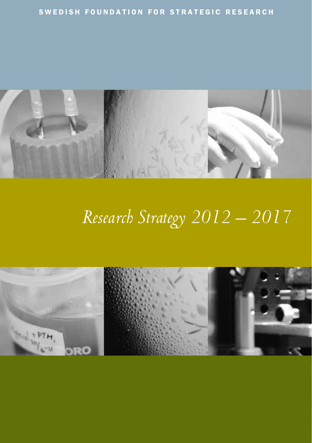

# *Research Strategy 2012 – 2017*

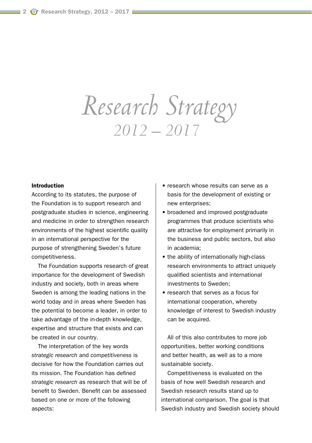# *Research Strategy 2012 – 2017*

### Introduction

According to its statutes, the purpose of the Foundation is to support research and postgraduate studies in science, engineering and medicine in order to strengthen research environments of the highest scientific quality in an international perspective for the purpose of strengthening Sweden's future competitiveness.

The Foundation supports research of great importance for the development of Swedish industry and society, both in areas where Sweden is among the leading nations in the world today and in areas where Sweden has the potential to become a leader, in order to take advantage of the in-depth knowledge, expertise and structure that exists and can be created in our country.

The interpretation of the key words *strategic research* and *competitiveness* is decisive for how the Foundation carries out its mission. The Foundation has defined *strategic research* as research that will be of benefit to Sweden. Benefit can be assessed based on one or more of the following aspects:

- research whose results can serve as a basis for the development of existing or new enterprises;
- broadened and improved postgraduate programmes that produce scientists who are attractive for employment primarily in the business and public sectors, but also in academia;
- the ability of internationally high-class research environments to attract uniquely qualified scientists and international investments to Sweden;
- research that serves as a focus for international cooperation, whereby knowledge of interest to Swedish industry can be acquired.

All of this also contributes to more job opportunities, better working conditions and better health, as well as to a more sustainable society.

Competitiveness is evaluated on the basis of how well Swedish research and Swedish research results stand up to international comparison. The goal is that Swedish industry and Swedish society should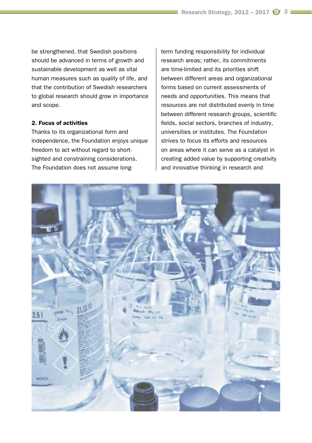be strengthened, that Swedish positions should be advanced in terms of growth and sustainable development as well as vital human measures such as quality of life, and that the contribution of Swedish researchers to global research should grow in importance and scope.

## 2. Focus of activities

Thanks to its organizational form and independence, the Foundation enjoys unique freedom to act without regard to shortsighted and constraining considerations. The Foundation does not assume longterm funding responsibility for individual research areas; rather, its commitments are time-limited and its priorities shift between different areas and organizational forms based on current assessments of needs and opportunities. This means that resources are not distributed evenly in time between different research groups, scientific fields, social sectors, branches of industry, universities or institutes. The Foundation strives to focus its efforts and resources on areas where it can serve as a catalyst in creating added value by supporting creativity and innovative thinking in research and

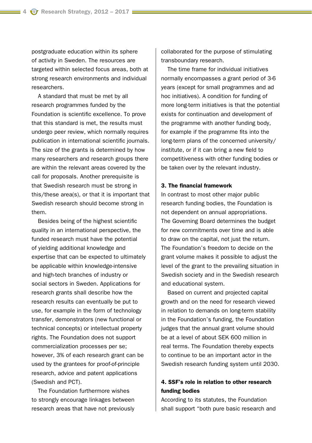postgraduate education within its sphere of activity in Sweden. The resources are targeted within selected focus areas, both at strong research environments and individual researchers.

A standard that must be met by all research programmes funded by the Foundation is scientific excellence. To prove that this standard is met, the results must undergo peer review, which normally requires publication in international scientific journals. The size of the grants is determined by how many researchers and research groups there are within the relevant areas covered by the call for proposals. Another prerequisite is that Swedish research must be strong in this/these area(s), or that it is important that Swedish research should become strong in them.

Besides being of the highest scientific quality in an international perspective, the funded research must have the potential of yielding additional knowledge and expertise that can be expected to ultimately be applicable within knowledge-intensive and high-tech branches of industry or social sectors in Sweden. Applications for research grants shall describe how the research results can eventually be put to use, for example in the form of technology transfer, demonstrators (new functional or technical concepts) or intellectual property rights. The Foundation does not support commercialization processes per se; however, 3% of each research grant can be used by the grantees for proof-of-principle research, advice and patent applications (Swedish and PCT).

The Foundation furthermore wishes to strongly encourage linkages between research areas that have not previously collaborated for the purpose of stimulating transboundary research.

The time frame for individual initiatives normally encompasses a grant period of 3-6 years (except for small programmes and ad hoc initiatives). A condition for funding of more long-term initiatives is that the potential exists for continuation and development of the programme with another funding body, for example if the programme fits into the long-term plans of the concerned university/ institute, or if it can bring a new field to competitiveness with other funding bodies or be taken over by the relevant industry.

#### 3. The financial framework

In contrast to most other major public research funding bodies, the Foundation is not dependent on annual appropriations. The Governing Board determines the budget for new commitments over time and is able to draw on the capital, not just the return. The Foundation's freedom to decide on the grant volume makes it possible to adjust the level of the grant to the prevailing situation in Swedish society and in the Swedish research and educational system.

Based on current and projected capital growth and on the need for research viewed in relation to demands on long-term stability in the Foundation's funding, the Foundation judges that the annual grant volume should be at a level of about SEK 600 million in real terms. The Foundation thereby expects to continue to be an important actor in the Swedish research funding system until 2030.

## 4. SSF's role in relation to other research funding bodies

According to its statutes, the Foundation shall support "both pure basic research and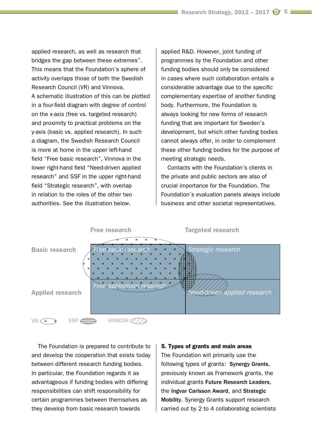applied research, as well as research that bridges the gap between these extremes". This means that the Foundation's sphere of activity overlaps those of both the Swedish Research Council (VR) and Vinnova. A schematic illustration of this can be plotted in a four-field diagram with degree of control on the x-axis (free vs. targeted research) and proximity to practical problems on the y-axis (basic vs. applied research). In such a diagram, the Swedish Research Council is more at home in the upper left-hand field "Free basic research", Vinnova in the lower right-hand field "Need-driven applied research" and SSF in the upper right-hand field "Strategic research", with overlap in relation to the roles of the other two authorities. See the illustration below.

applied R&D. However, joint funding of programmes by the Foundation and other funding bodies should only be considered in cases where such collaboration entails a considerable advantage due to the specific complementary expertise of another funding body. Furthermore, the Foundation is always looking for new forms of research funding that are important for Sweden's development, but which other funding bodies cannot always offer, in order to complement these other funding bodies for the purpose of meeting strategic needs.

Contacts with the Foundation's clients in the private and public sectors are also of crucial importance for the Foundation. The Foundation's evaluation panels always include business and other societal representatives.



The Foundation is prepared to contribute to and develop the cooperation that exists today between different research funding bodies. In particular, the Foundation regards it as advantageous if funding bodies with differing responsibilities can shift responsibility for certain programmes between themselves as they develop from basic research towards

#### 5. Types of grants and main areas

The Foundation will primarily use the following types of grants: Synergy Grants, previously known as Framework grants, the individual grants Future Research Leaders, the Ingvar Carlsson Award, and Strategic Mobility. Synergy Grants support research carried out by 2 to 4 collaborating scientists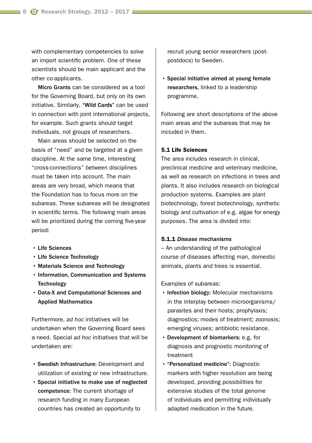with complementary competencies to solve an import scientific problem. One of these scientists should be main applicant and the other co-applicants.

Micro Grants can be considered as a tool for the Governing Board, but only on its own initiative. Similarly, "Wild Cards" can be used in connection with joint international projects, for example. Such grants should target individuals, not groups of researchers.

Main areas should be selected on the basis of "need" and be targeted at a given discipline. At the same time, interesting "cross-connections" between disciplines must be taken into account. The main areas are very broad, which means that the Foundation has to focus more on the subareas. These subareas will be designated in scientific terms. The following main areas will be prioritized during the coming five-year period:

- Life Sciences
- Life Science Technology
- Materials Science and Technology
- Information, Communication and Systems **Technology**
- Data-X and Computational Sciences and Applied Mathematics

Furthermore, *ad hoc* initiatives will be undertaken when the Governing Board sees a need. Special *ad hoc* initiatives that will be undertaken are:

- Swedish Infrastructure: Development and utilization of existing or new infrastructure.
- Special initiative to make use of neglected competence: The current shortage of research funding in many European countries has created an opportunity to

recruit young senior researchers (postpostdocs) to Sweden.

• Special initiative aimed at young female researchers, linked to a leadership programme.

Following are short descriptions of the above main areas and the subareas that may be included in them.

#### 5.1 Life Sciences

The area includes research in clinical, preclinical medicine and veterinary medicine, as well as research on infections in trees and plants. It also includes research on biological production systems. Examples are plant biotechnology, forest biotechnology, synthetic biology and cultivation of e.g. algae for energy purposes. The area is divided into:

## 5.1.1 *Disease mechanisms*

– An understanding of the pathological course of diseases affecting man, domestic animals, plants and trees is essential.

Examples of subareas:

- Infection biology: Molecular mechanisms in the interplay between microorganisms/ parasites and their hosts; prophylaxis; diagnostics; modes of treatment; zoonosis; emerging viruses; antibiotic resistance.
- Development of biomarkers: e.g. for diagnosis and prognostic monitoring of treatment
- "Personalized medicine": Diagnostic markers with higher resolution are being developed, providing possibilities for extensive studies of the total genome of individuals and permitting individually adapted medication in the future.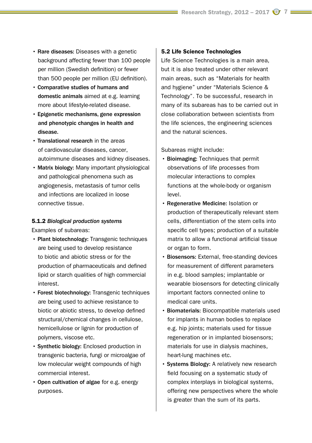- Rare diseases: Diseases with a genetic background affecting fewer than 100 people per million (Swedish definition) or fewer than 500 people per million (EU definition).
- Comparative studies of humans and domestic animals aimed at e.g. learning more about lifestyle-related disease.
- Epigenetic mechanisms, gene expression and phenotypic changes in health and disease.
- Translational research in the areas of cardiovascular diseases, cancer, autoimmune diseases and kidney diseases.
- Matrix biology: Many important physiological and pathological phenomena such as angiogenesis, metastasis of tumor cells and infections are localized in loose connective tissue.

## 5.1.2 *Biological production systems*

Examples of subareas:

- Plant biotechnology: Transgenic techniques are being used to develop resistance to biotic and abiotic stress or for the production of pharmaceuticals and defined lipid or starch qualities of high commercial interest.
- Forest biotechnology: Transgenic techniques are being used to achieve resistance to biotic or abiotic stress, to develop defined structural/chemical changes in cellulose, hemicellulose or lignin for production of polymers, viscose etc.
- Synthetic biology: Enclosed production in transgenic bacteria, fungi or microalgae of low molecular weight compounds of high commercial interest.
- Open cultivation of algae for e.g. energy purposes.

#### 5.2 Life Science Technologies

Life Science Technologies is a main area, but it is also treated under other relevant main areas, such as "Materials for health and hygiene" under "Materials Science & Technology". To be successful, research in many of its subareas has to be carried out in close collaboration between scientists from the life sciences, the engineering sciences and the natural sciences.

Subareas might include:

- Bioimaging: Techniques that permit observations of life processes from molecular interactions to complex functions at the whole-body or organism level.
- Regenerative Medicine: Isolation or production of therapeutically relevant stem cells, differentiation of the stem cells into specific cell types; production of a suitable matrix to allow a functional artificial tissue or organ to form.
- Biosensors: External, free-standing devices for measurement of different parameters in e.g. blood samples; implantable or wearable biosensors for detecting clinically important factors connected online to medical care units.
- Biomaterials: Biocompatible materials used for implants in human bodies to replace e.g. hip joints; materials used for tissue regeneration or in implanted biosensors; materials for use in dialysis machines, heart-lung machines etc.
- Systems Biology: A relatively new research field focusing on a systematic study of complex interplays in biological systems, offering new perspectives where the whole is greater than the sum of its parts.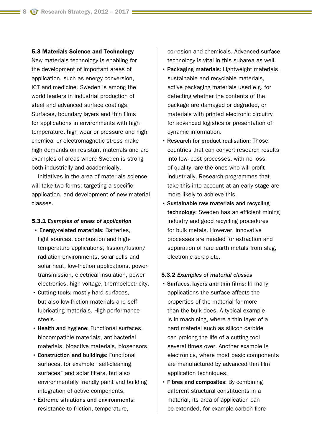#### 5.3 Materials Science and Technology

New materials technology is enabling for the development of important areas of application, such as energy conversion, ICT and medicine. Sweden is among the world leaders in industrial production of steel and advanced surface coatings. Surfaces, boundary layers and thin films for applications in environments with high temperature, high wear or pressure and high chemical or electromagnetic stress make high demands on resistant materials and are examples of areas where Sweden is strong both industrially and academically.

Initiatives in the area of materials science will take two forms: targeting a specific application, and development of new material classes.

#### 5.3.1 *Examples of areas of application*

- Energy-related materials: Batteries, light sources, combustion and hightemperature applications, fission/fusion/ radiation environments, solar cells and solar heat, low-friction applications, power transmission, electrical insulation, power electronics, high voltage, thermoelectricity.
- Cutting tools: mostly hard surfaces, but also low-friction materials and selflubricating materials. High-performance steels.
- Health and hygiene: Functional surfaces, biocompatible materials, antibacterial materials, bioactive materials, biosensors.
- Construction and buildings: Functional surfaces, for example "self-cleaning surfaces" and solar filters, but also environmentally friendly paint and building integration of active components.
- Extreme situations and environments: resistance to friction, temperature,

corrosion and chemicals. Advanced surface technology is vital in this subarea as well.

- Packaging materials: Lightweight materials, sustainable and recyclable materials, active packaging materials used e.g. for detecting whether the contents of the package are damaged or degraded, or materials with printed electronic circuitry for advanced logistics or presentation of dynamic information.
- Research for product realisation: Those countries that can convert research results into low- cost processes, with no loss of quality, are the ones who will profit industrially. Research programmes that take this into account at an early stage are more likely to achieve this.
- Sustainable raw materials and recycling technology: Sweden has an efficient mining industry and good recycling procedures for bulk metals. However, innovative processes are needed for extraction and separation of rare earth metals from slag, electronic scrap etc.

#### 5.3.2 *Examples of material classes*

- Surfaces, layers and thin films: In many applications the surface affects the properties of the material far more than the bulk does. A typical example is in machining, where a thin layer of a hard material such as silicon carbide can prolong the life of a cutting tool several times over. Another example is electronics, where most basic components are manufactured by advanced thin film application techniques.
- Fibres and composites: By combining different structural constituents in a material, its area of application can be extended, for example carbon fibre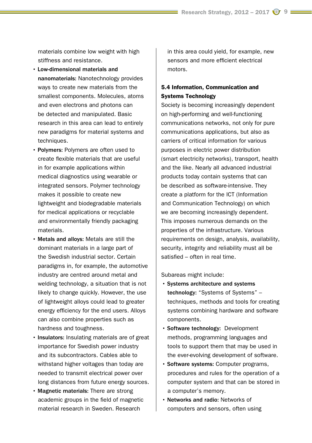materials combine low weight with high stiffness and resistance.

- Low-dimensional materials and nanomaterials: Nanotechnology provides ways to create new materials from the smallest components. Molecules, atoms and even electrons and photons can be detected and manipulated. Basic research in this area can lead to entirely new paradigms for material systems and techniques.
- Polymers: Polymers are often used to create flexible materials that are useful in for example applications within medical diagnostics using wearable or integrated sensors. Polymer technology makes it possible to create new lightweight and biodegradable materials for medical applications or recyclable and environmentally friendly packaging materials.
- Metals and alloys: Metals are still the dominant materials in a large part of the Swedish industrial sector. Certain paradigms in, for example, the automotive industry are centred around metal and welding technology, a situation that is not likely to change quickly. However, the use of lightweight alloys could lead to greater energy efficiency for the end users. Alloys can also combine properties such as hardness and toughness.
- Insulators: Insulating materials are of great importance for Swedish power industry and its subcontractors. Cables able to withstand higher voltages than today are needed to transmit electrical power over long distances from future energy sources.
- Magnetic materials: There are strong academic groups in the field of magnetic material research in Sweden. Research

in this area could yield, for example, new sensors and more efficient electrical motors.

## 5.4 Information, Communication and Systems Technology

Society is becoming increasingly dependent on high-performing and well-functioning communications networks, not only for pure communications applications, but also as carriers of critical information for various purposes in electric power distribution (smart electricity networks), transport, health and the like. Nearly all advanced industrial products today contain systems that can be described as software-intensive. They create a platform for the ICT (Information and Communication Technology) on which we are becoming increasingly dependent. This imposes numerous demands on the properties of the infrastructure. Various requirements on design, analysis, availability, security, integrity and reliability must all be satisfied – often in real time.

Subareas might include:

- Systems architecture and systems technology: "Systems of Systems" – techniques, methods and tools for creating systems combining hardware and software components.
- Software technology: Development methods, programming languages and tools to support them that may be used in the ever-evolving development of software.
- Software systems: Computer programs, procedures and rules for the operation of a computer system and that can be stored in a computer's memory.
- Networks and radio: Networks of computers and sensors, often using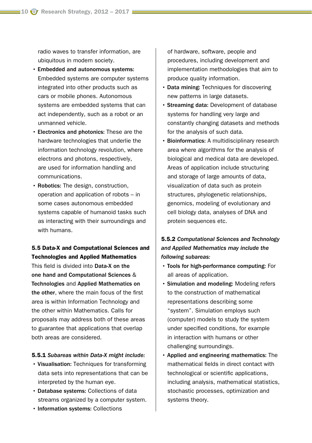radio waves to transfer information, are ubiquitous in modern society.

- Embedded and autonomous systems: Embedded systems are computer systems integrated into other products such as cars or mobile phones. Autonomous systems are embedded systems that can act independently, such as a robot or an unmanned vehicle.
- Electronics and photonics: These are the hardware technologies that underlie the information technology revolution, where electrons and photons, respectively, are used for information handling and communications.
- Robotics: The design, construction, operation and application of robots – in some cases autonomous embedded systems capable of humanoid tasks such as interacting with their surroundings and with humans.

## 5.5 Data-X and Computational Sciences and Technologies and Applied Mathematics

This field is divided into Data-X on the one hand and Computational Sciences & Technologies and Applied Mathematics on the other, where the main focus of the first area is within Information Technology and the other within Mathematics. Calls for proposals may address both of these areas to guarantee that applications that overlap both areas are considered.

### 5.5.1 *Subareas within Data-X might include:*

- Visualisation: Techniques for transforming data sets into representations that can be interpreted by the human eye.
- Database systems: Collections of data streams organized by a computer system.
- Information systems: Collections

of hardware, software, people and procedures, including development and implementation methodologies that aim to produce quality information.

- Data mining: Techniques for discovering new patterns in large datasets.
- Streaming data: Development of database systems for handling very large and constantly changing datasets and methods for the analysis of such data.
- Bioinformatics: A multidisciplinary research area where algorithms for the analysis of biological and medical data are developed. Areas of application include structuring and storage of large amounts of data, visualization of data such as protein structures, phylogenetic relationships, genomics, modeling of evolutionary and cell biology data, analyses of DNA and protein sequences etc.

## 5.5.2 *Computational Sciences and Technology and Applied Mathematics may include the following subareas:*

- Tools for high-performance computing: For all areas of application.
- Simulation and modeling: Modeling refers to the construction of mathematical representations describing some "system". Simulation employs such (computer) models to study the system under specified conditions, for example in interaction with humans or other challenging surroundings.
- Applied and engineering mathematics: The mathematical fields in direct contact with technological or scientific applications, including analysis, mathematical statistics, stochastic processes, optimization and systems theory.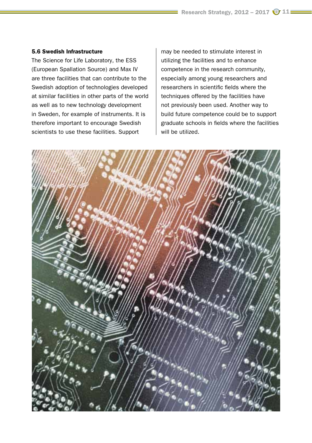### 5.6 Swedish Infrastructure

The Science for Life Laboratory, the ESS (European Spallation Source) and Max IV are three facilities that can contribute to the Swedish adoption of technologies developed at similar facilities in other parts of the world as well as to new technology development in Sweden, for example of instruments. It is therefore important to encourage Swedish scientists to use these facilities. Support

may be needed to stimulate interest in utilizing the facilities and to enhance competence in the research community, especially among young researchers and researchers in scientific fields where the techniques offered by the facilities have not previously been used. Another way to build future competence could be to support graduate schools in fields where the facilities will be utilized.